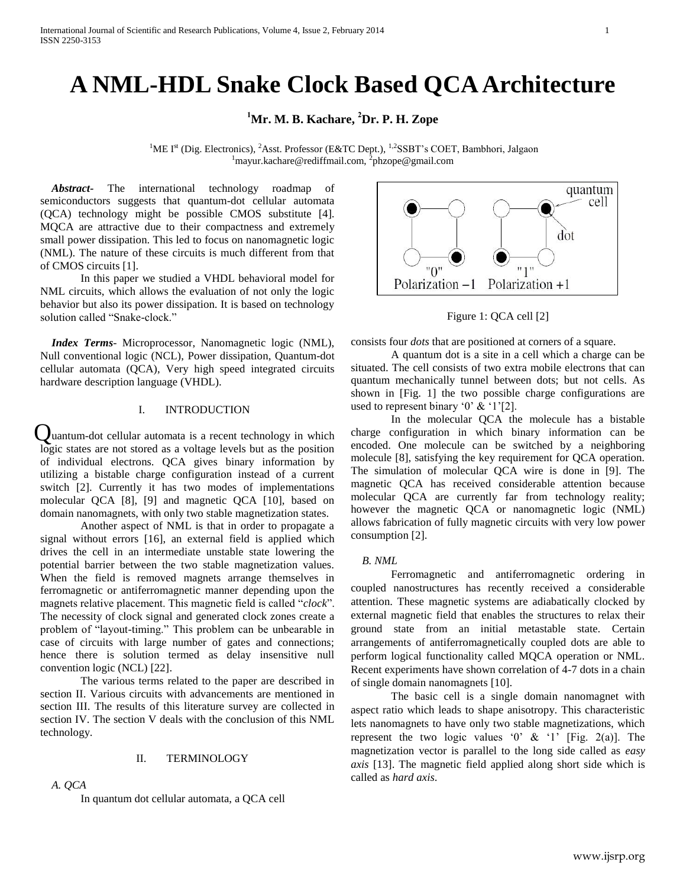# **A NML-HDL Snake Clock Based QCA Architecture**

**<sup>1</sup>Mr. M. B. Kachare, <sup>2</sup>Dr. P. H. Zope**

<sup>1</sup>ME I<sup>st</sup> (Dig. Electronics), <sup>2</sup>Asst. Professor (E&TC Dept.), <sup>1,2</sup>SSBT's COET, Bambhori, Jalgaon  $1$ mayur.kachare@rediffmail.com,  $2$ phzope@gmail.com

*Abstract-* The international technology roadmap of semiconductors suggests that quantum-dot cellular automata (QCA) technology might be possible CMOS substitute [4]. MQCA are attractive due to their compactness and extremely small power dissipation. This led to focus on nanomagnetic logic (NML). The nature of these circuits is much different from that of CMOS circuits [1].

In this paper we studied a VHDL behavioral model for NML circuits, which allows the evaluation of not only the logic behavior but also its power dissipation. It is based on technology solution called "Snake-clock."

*Index Terms*- Microprocessor, Nanomagnetic logic (NML), Null conventional logic (NCL), Power dissipation, Quantum-dot cellular automata (QCA), Very high speed integrated circuits hardware description language (VHDL).

# I. INTRODUCTION

uantum-dot cellular automata is a recent technology in which Qlogic states are not stored as a voltage levels but as the position of individual electrons. QCA gives binary information by utilizing a bistable charge configuration instead of a current switch [2]. Currently it has two modes of implementations molecular QCA [8], [9] and magnetic QCA [10], based on domain nanomagnets, with only two stable magnetization states.

Another aspect of NML is that in order to propagate a signal without errors [16], an external field is applied which drives the cell in an intermediate unstable state lowering the potential barrier between the two stable magnetization values. When the field is removed magnets arrange themselves in ferromagnetic or antiferromagnetic manner depending upon the magnets relative placement. This magnetic field is called "*clock*". The necessity of clock signal and generated clock zones create a problem of "layout-timing." This problem can be unbearable in case of circuits with large number of gates and connections; hence there is solution termed as delay insensitive null convention logic (NCL) [22].

The various terms related to the paper are described in section II. Various circuits with advancements are mentioned in section III. The results of this literature survey are collected in section IV. The section V deals with the conclusion of this NML technology.

## II. TERMINOLOGY

*A. QCA*

In quantum dot cellular automata, a QCA cell



Figure 1: QCA cell [2]

consists four *dots* that are positioned at corners of a square.

A quantum dot is a site in a cell which a charge can be situated. The cell consists of two extra mobile electrons that can quantum mechanically tunnel between dots; but not cells. As shown in [Fig. 1] the two possible charge configurations are used to represent binary '0'  $\&$  '1'[2].

In the molecular QCA the molecule has a bistable charge configuration in which binary information can be encoded. One molecule can be switched by a neighboring molecule [8], satisfying the key requirement for QCA operation. The simulation of molecular QCA wire is done in [9]. The magnetic QCA has received considerable attention because molecular QCA are currently far from technology reality; however the magnetic QCA or nanomagnetic logic (NML) allows fabrication of fully magnetic circuits with very low power consumption [2].

## *B. NML*

Ferromagnetic and antiferromagnetic ordering in coupled nanostructures has recently received a considerable attention. These magnetic systems are adiabatically clocked by external magnetic field that enables the structures to relax their ground state from an initial metastable state. Certain arrangements of antiferromagnetically coupled dots are able to perform logical functionality called MQCA operation or NML. Recent experiments have shown correlation of 4-7 dots in a chain of single domain nanomagnets [10].

The basic cell is a single domain nanomagnet with aspect ratio which leads to shape anisotropy. This characteristic lets nanomagnets to have only two stable magnetizations, which represent the two logic values '0'  $\&$  '1' [Fig. 2(a)]. The magnetization vector is parallel to the long side called as *easy axis* [13]. The magnetic field applied along short side which is called as *hard axis*.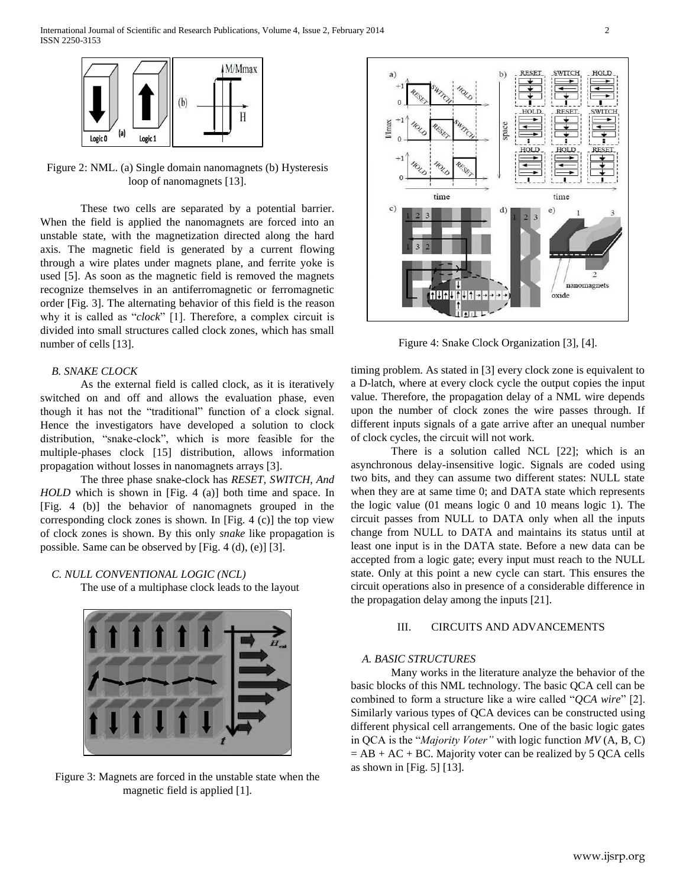

Figure 2: NML. (a) Single domain nanomagnets (b) Hysteresis loop of nanomagnets [13].

These two cells are separated by a potential barrier. When the field is applied the nanomagnets are forced into an unstable state, with the magnetization directed along the hard axis. The magnetic field is generated by a current flowing through a wire plates under magnets plane, and ferrite yoke is used [5]. As soon as the magnetic field is removed the magnets recognize themselves in an antiferromagnetic or ferromagnetic order [Fig. 3]. The alternating behavior of this field is the reason why it is called as "*clock*" [1]. Therefore, a complex circuit is divided into small structures called clock zones, which has small number of cells [13].

# *B. SNAKE CLOCK*

As the external field is called clock, as it is iteratively switched on and off and allows the evaluation phase, even though it has not the "traditional" function of a clock signal. Hence the investigators have developed a solution to clock distribution, "snake-clock", which is more feasible for the multiple-phases clock [15] distribution, allows information propagation without losses in nanomagnets arrays [3].

The three phase snake-clock has *RESET, SWITCH, And HOLD* which is shown in [Fig. 4 (a)] both time and space. In [Fig. 4 (b)] the behavior of nanomagnets grouped in the corresponding clock zones is shown. In [Fig. 4 (c)] the top view of clock zones is shown. By this only *snake* like propagation is possible. Same can be observed by [Fig. 4 (d), (e)] [3].

## *C. NULL CONVENTIONAL LOGIC (NCL)*

The use of a multiphase clock leads to the layout



Figure 3: Magnets are forced in the unstable state when the magnetic field is applied [1].



Figure 4: Snake Clock Organization [3], [4].

timing problem. As stated in [3] every clock zone is equivalent to a D-latch, where at every clock cycle the output copies the input value. Therefore, the propagation delay of a NML wire depends upon the number of clock zones the wire passes through. If different inputs signals of a gate arrive after an unequal number of clock cycles, the circuit will not work.

There is a solution called NCL [22]; which is an asynchronous delay-insensitive logic. Signals are coded using two bits, and they can assume two different states: NULL state when they are at same time 0; and DATA state which represents the logic value (01 means logic 0 and 10 means logic 1). The circuit passes from NULL to DATA only when all the inputs change from NULL to DATA and maintains its status until at least one input is in the DATA state. Before a new data can be accepted from a logic gate; every input must reach to the NULL state. Only at this point a new cycle can start. This ensures the circuit operations also in presence of a considerable difference in the propagation delay among the inputs [21].

# III. CIRCUITS AND ADVANCEMENTS

## *A. BASIC STRUCTURES*

Many works in the literature analyze the behavior of the basic blocks of this NML technology. The basic QCA cell can be combined to form a structure like a wire called "*QCA wire*" [2]. Similarly various types of QCA devices can be constructed using different physical cell arrangements. One of the basic logic gates in QCA is the "*Majority Voter"* with logic function *MV* (A, B, C)  $= AB + AC + BC$ . Majority voter can be realized by 5 QCA cells as shown in [Fig. 5] [13].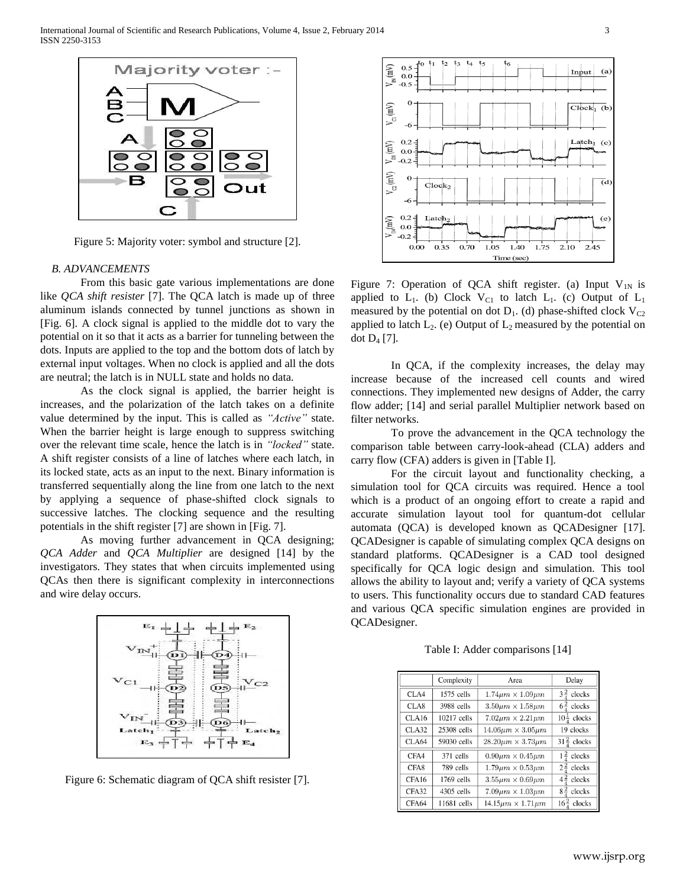

Figure 5: Majority voter: symbol and structure [2].

#### *B. ADVANCEMENTS*

From this basic gate various implementations are done like *QCA shift resister* [7]. The QCA latch is made up of three aluminum islands connected by tunnel junctions as shown in [Fig. 6]. A clock signal is applied to the middle dot to vary the potential on it so that it acts as a barrier for tunneling between the dots. Inputs are applied to the top and the bottom dots of latch by external input voltages. When no clock is applied and all the dots are neutral; the latch is in NULL state and holds no data.

As the clock signal is applied, the barrier height is increases, and the polarization of the latch takes on a definite value determined by the input. This is called as *"Active"* state. When the barrier height is large enough to suppress switching over the relevant time scale, hence the latch is in *"locked"* state. A shift register consists of a line of latches where each latch, in its locked state, acts as an input to the next. Binary information is transferred sequentially along the line from one latch to the next by applying a sequence of phase-shifted clock signals to successive latches. The clocking sequence and the resulting potentials in the shift register [7] are shown in [Fig. 7].

As moving further advancement in QCA designing; *QCA Adder* and *QCA Multiplier* are designed [14] by the investigators. They states that when circuits implemented using QCAs then there is significant complexity in interconnections and wire delay occurs.



Figure 6: Schematic diagram of QCA shift resister [7].



Figure 7: Operation of QCA shift register. (a) Input  $V_{1N}$  is applied to  $L_1$ . (b) Clock  $V_{C1}$  to latch  $L_1$ . (c) Output of  $L_1$ measured by the potential on dot  $D_1$ . (d) phase-shifted clock  $V_{C2}$ applied to latch  $L_2$ . (e) Output of  $L_2$  measured by the potential on dot  $D_4$  [7].

In QCA, if the complexity increases, the delay may increase because of the increased cell counts and wired connections. They implemented new designs of Adder, the carry flow adder; [14] and serial parallel Multiplier network based on filter networks.

To prove the advancement in the QCA technology the comparison table between carry-look-ahead (CLA) adders and carry flow (CFA) adders is given in [Table I].

For the circuit layout and functionality checking, a simulation tool for QCA circuits was required. Hence a tool which is a product of an ongoing effort to create a rapid and accurate simulation layout tool for quantum-dot cellular automata (QCA) is developed known as QCADesigner [17]. QCADesigner is capable of simulating complex QCA designs on standard platforms. QCADesigner is a CAD tool designed specifically for QCA logic design and simulation. This tool allows the ability to layout and; verify a variety of QCA systems to users. This functionality occurs due to standard CAD features and various QCA specific simulation engines are provided in QCADesigner.

Table I: Adder comparisons [14]

|       | Complexity   | Area                            | Delay                    |
|-------|--------------|---------------------------------|--------------------------|
| CLA4  | $1575$ cells | $1.74 \mu m \times 1.09 \mu m$  | $3\frac{2}{7}$ clocks    |
| CLA8  | 3988 cells   | $3.50 \mu m \times 1.58 \mu m$  | $6\frac{2}{3}$ clocks    |
| CLA16 | 10217 cells  | $7.02 \mu m \times 2.21 \mu m$  | $10\frac{1}{4}$ clocks   |
| CLA32 | 25308 cells  | $14.06 \mu m \times 3.05 \mu m$ | 19 clocks                |
| CLA64 | 59030 cells  | $28.20 \mu m \times 3.73 \mu m$ | $31\frac{2}{4}$ clocks   |
| CFA4  | 371 cells    | $0.90 \mu m \times 0.45 \mu m$  | $\frac{2}{4}$<br>clocks  |
| CFA8  | 789 cells    | $1.79 \mu m \times 0.53 \mu m$  | $2\frac{2}{3}$ clocks    |
| CFA16 | $1769$ cells | $3.55 \mu m \times 0.69 \mu m$  | $4\frac{2}{4}$<br>clocks |
| CFA32 | 4305 cells   | $7.09 \mu m \times 1.03 \mu m$  | $8\frac{2}{7}$ clocks    |
| CFA64 | 11681 cells  | $14.15 \mu m \times 1.71 \mu m$ | $16\frac{2}{3}$ clocks   |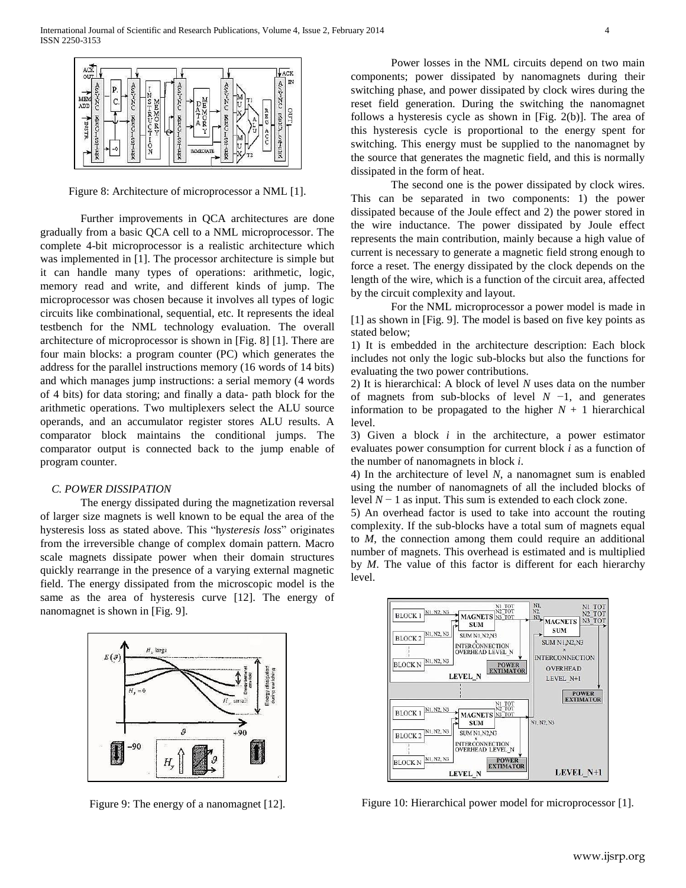

Figure 8: Architecture of microprocessor a NML [1].

Further improvements in QCA architectures are done gradually from a basic QCA cell to a NML microprocessor. The complete 4-bit microprocessor is a realistic architecture which was implemented in [1]. The processor architecture is simple but it can handle many types of operations: arithmetic, logic, memory read and write, and different kinds of jump. The microprocessor was chosen because it involves all types of logic circuits like combinational, sequential, etc. It represents the ideal testbench for the NML technology evaluation. The overall architecture of microprocessor is shown in [Fig. 8] [1]. There are four main blocks: a program counter (PC) which generates the address for the parallel instructions memory (16 words of 14 bits) and which manages jump instructions: a serial memory (4 words of 4 bits) for data storing; and finally a data- path block for the arithmetic operations. Two multiplexers select the ALU source operands, and an accumulator register stores ALU results. A comparator block maintains the conditional jumps. The comparator output is connected back to the jump enable of program counter.

## *C. POWER DISSIPATION*

The energy dissipated during the magnetization reversal of larger size magnets is well known to be equal the area of the hysteresis loss as stated above. This "h*ysteresis loss*" originates from the irreversible change of complex domain pattern. Macro scale magnets dissipate power when their domain structures quickly rearrange in the presence of a varying external magnetic field. The energy dissipated from the microscopic model is the same as the area of hysteresis curve [12]. The energy of nanomagnet is shown in [Fig. 9].



Figure 9: The energy of a nanomagnet [12].

Power losses in the NML circuits depend on two main components; power dissipated by nanomagnets during their switching phase, and power dissipated by clock wires during the reset field generation. During the switching the nanomagnet follows a hysteresis cycle as shown in [Fig. 2(b)]. The area of this hysteresis cycle is proportional to the energy spent for switching. This energy must be supplied to the nanomagnet by the source that generates the magnetic field, and this is normally dissipated in the form of heat.

The second one is the power dissipated by clock wires. This can be separated in two components: 1) the power dissipated because of the Joule effect and 2) the power stored in the wire inductance. The power dissipated by Joule effect represents the main contribution, mainly because a high value of current is necessary to generate a magnetic field strong enough to force a reset. The energy dissipated by the clock depends on the length of the wire, which is a function of the circuit area, affected by the circuit complexity and layout.

For the NML microprocessor a power model is made in [1] as shown in [Fig. 9]. The model is based on five key points as stated below;

1) It is embedded in the architecture description: Each block includes not only the logic sub-blocks but also the functions for evaluating the two power contributions.

2) It is hierarchical: A block of level *N* uses data on the number of magnets from sub-blocks of level *N* −1, and generates information to be propagated to the higher  $N + 1$  hierarchical level.

3) Given a block *i* in the architecture, a power estimator evaluates power consumption for current block *i* as a function of the number of nanomagnets in block *i*.

4) In the architecture of level *N*, a nanomagnet sum is enabled using the number of nanomagnets of all the included blocks of level *N* − 1 as input. This sum is extended to each clock zone.

5) An overhead factor is used to take into account the routing complexity. If the sub-blocks have a total sum of magnets equal to *M*, the connection among them could require an additional number of magnets. This overhead is estimated and is multiplied by *M*. The value of this factor is different for each hierarchy level.



Figure 10: Hierarchical power model for microprocessor [1].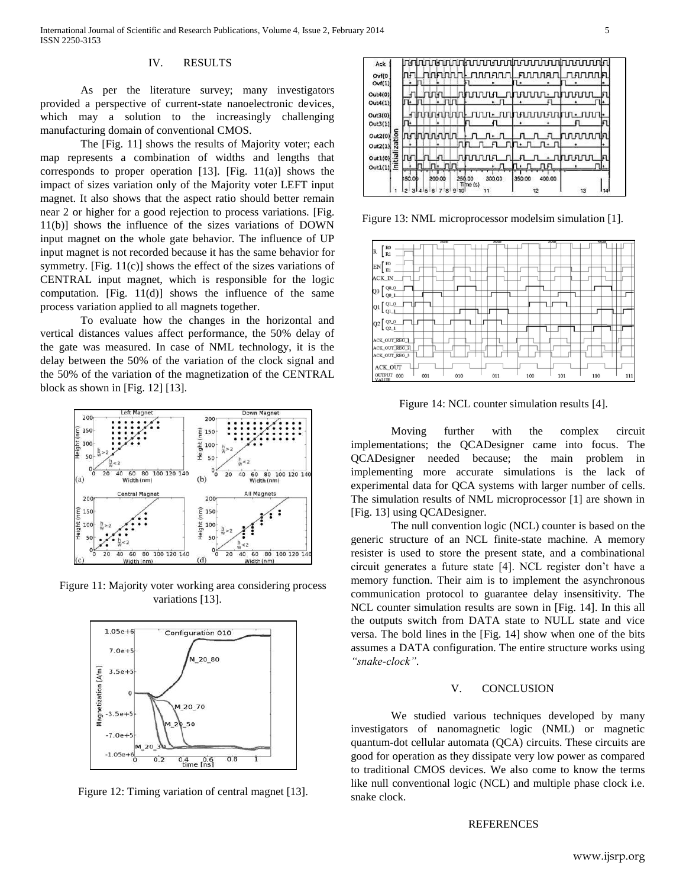# IV. RESULTS

As per the literature survey; many investigators provided a perspective of current-state nanoelectronic devices, which may a solution to the increasingly challenging manufacturing domain of conventional CMOS.

The [Fig. 11] shows the results of Majority voter; each map represents a combination of widths and lengths that corresponds to proper operation [13]. [Fig. 11(a)] shows the impact of sizes variation only of the Majority voter LEFT input magnet. It also shows that the aspect ratio should better remain near 2 or higher for a good rejection to process variations. [Fig. 11(b)] shows the influence of the sizes variations of DOWN input magnet on the whole gate behavior. The influence of UP input magnet is not recorded because it has the same behavior for symmetry. [Fig.  $11(c)$ ] shows the effect of the sizes variations of CENTRAL input magnet, which is responsible for the logic computation. [Fig.  $11(d)$ ] shows the influence of the same process variation applied to all magnets together.

To evaluate how the changes in the horizontal and vertical distances values affect performance, the 50% delay of the gate was measured. In case of NML technology, it is the delay between the 50% of the variation of the clock signal and the 50% of the variation of the magnetization of the CENTRAL block as shown in [Fig. 12] [13].



Figure 11: Majority voter working area considering process variations [13].



Figure 12: Timing variation of central magnet [13].

| Ack                | որտերանի արդյունացի արդյուններ                           |
|--------------------|----------------------------------------------------------|
| Ovf(0)             | DDRE<br>nnna                                             |
| Ovf(1)             |                                                          |
| Out4(0)            | าภทท<br>ח יחר                                            |
| Out4(1)            | Гŀ<br>$\cdot$ $\Box$<br>۱н                               |
| Out3(0)            | пп• плп⊧<br>1П П+                                        |
| Out3(1)            |                                                          |
| zation<br>OutZ(0)  | ותחתחתמו                                                 |
| Out2(1)            |                                                          |
|                    | пł                                                       |
| Out1(0)<br>Out1(1) | пп<br>ПĿ<br>п.                                           |
|                    | 400.00<br>150.00<br>200.00<br>300.00<br>350.00<br>250.00 |
|                    | Time (s)<br>78910<br>к<br>6<br>13<br>114                 |

Figure 13: NML microprocessor modelsim simulation [1].



Figure 14: NCL counter simulation results [4].

Moving further with the complex circuit implementations; the QCADesigner came into focus. The QCADesigner needed because; the main problem in implementing more accurate simulations is the lack of experimental data for QCA systems with larger number of cells. The simulation results of NML microprocessor [1] are shown in [Fig. 13] using QCADesigner.

The null convention logic (NCL) counter is based on the generic structure of an NCL finite-state machine. A memory resister is used to store the present state, and a combinational circuit generates a future state [4]. NCL register don't have a memory function. Their aim is to implement the asynchronous communication protocol to guarantee delay insensitivity. The NCL counter simulation results are sown in [Fig. 14]. In this all the outputs switch from DATA state to NULL state and vice versa. The bold lines in the [Fig. 14] show when one of the bits assumes a DATA configuration. The entire structure works using *"snake-clock"*.

## V. CONCLUSION

We studied various techniques developed by many investigators of nanomagnetic logic (NML) or magnetic quantum-dot cellular automata (QCA) circuits. These circuits are good for operation as they dissipate very low power as compared to traditional CMOS devices. We also come to know the terms like null conventional logic (NCL) and multiple phase clock i.e. snake clock.

#### **REFERENCES**